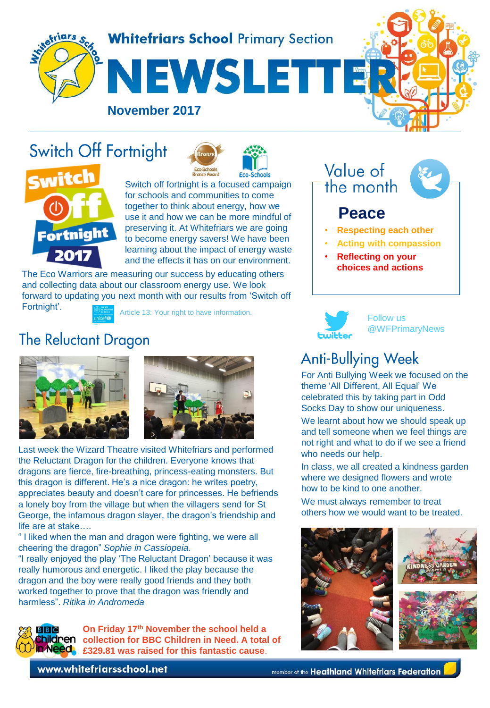

# Switch Off Fortnight



Switch off fortnight is a focused campaign for schools and communities to come together to think about energy, how we use it and how we can be more mindful of preserving it. At Whitefriars we are going to become energy savers! We have been learning about the impact of energy waste and the effects it has on our environment.

The Eco Warriors are measuring our success by educating others and collecting data about our classroom energy use. We look forward to updating you next month with our results from 'Switch off Fortnight'.



Article 13: Your right to have information.

### **The Reluctant Dragon**





Last week the Wizard Theatre visited Whitefriars and performed the Reluctant Dragon for the children. Everyone knows that dragons are fierce, fire-breathing, princess-eating monsters. But this dragon is different. He's a nice dragon: he writes poetry, appreciates beauty and doesn't care for princesses. He befriends a lonely boy from the village but when the villagers send for St George, the infamous dragon slayer, the dragon's friendship and life are at stake….

" I liked when the man and dragon were fighting, we were all cheering the dragon" *Sophie in Cassiopeia.*

"I really enjoyed the play 'The Reluctant Dragon' because it was really humorous and energetic. I liked the play because the dragon and the boy were really good friends and they both worked together to prove that the dragon was friendly and harmless". *Ritika in Andromeda*



**On Friday 17th November the school held a children** collection for BBC Children in Need. A total of **£329.81 was raised for this fantastic cause**.

Value of the month

### **Peace**

- **Respecting each other**
- **Acting with compassion**
- **Reflecting on your choices and actions**



Follow us @WFPrimaryNews

## **Anti-Bullying Week**

For Anti Bullying Week we focused on the theme 'All Different, All Equal' We celebrated this by taking part in Odd Socks Day to show our uniqueness.

We learnt about how we should speak up and tell someone when we feel things are not right and what to do if we see a friend who needs our help.

In class, we all created a kindness garden where we designed flowers and wrote how to be kind to one another.

We must always remember to treat others how we would want to be treated.



www.whitefriarsschool.net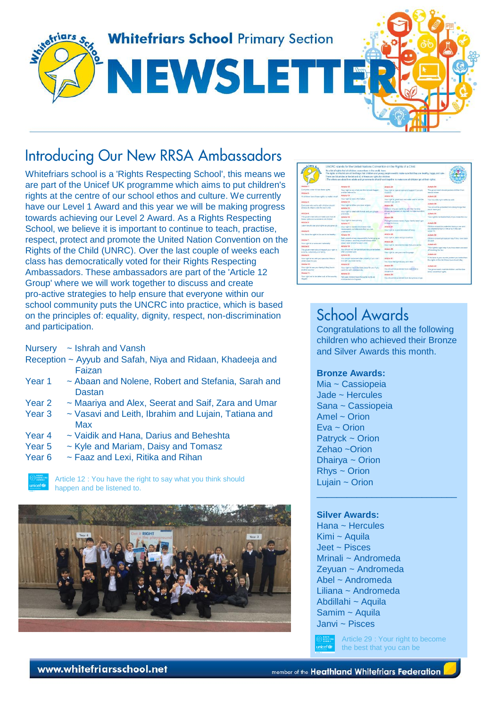

### **Introducing Our New RRSA Ambassadors**

Whitefriars school is a 'Rights Respecting School', this means we are part of the Unicef UK programme which aims to put children's rights at the centre of our school ethos and culture. We currently have our Level 1 Award and this year we will be making progress towards achieving our Level 2 Award. As a Rights Respecting School, we believe it is important to continue to teach, practise, respect, protect and promote the United Nation Convention on the Rights of the Child (UNRC). Over the last couple of weeks each class has democratically voted for their Rights Respecting Ambassadors. These ambassadors are part of the 'Article 12 Group' where we will work together to discuss and create pro-active strategies to help ensure that everyone within our school community puts the UNCRC into practice, which is based on the principles of: equality, dignity, respect, non-discrimination and participation.

| <b>Ariara</b>                                                                     | UNCRC stands for the United Nations Convention on the Rights of a Child.<br>It's a list of rights that all children, everywhere in the world, have,<br>There are 54 orticles in the list and 42 of these are rights for oblidees. | The rights on this list are all the things that children and young people need to make sure that they are beattiv. happy and sale.<br>(The others are about how adults and covernments should work together to make sure all children get all their rights). |                                                                                                                     |
|-----------------------------------------------------------------------------------|-----------------------------------------------------------------------------------------------------------------------------------------------------------------------------------------------------------------------------------|--------------------------------------------------------------------------------------------------------------------------------------------------------------------------------------------------------------------------------------------------------------|---------------------------------------------------------------------------------------------------------------------|
| Article f:                                                                        | Article 12                                                                                                                                                                                                                        | Article 23                                                                                                                                                                                                                                                   | Article 34:                                                                                                         |
| Evenings under 18 hos these rights<br>Artistic 2:                                 | Your right to say what you think aboutd happen.<br>and he latened to:                                                                                                                                                             | Your right to special care and support if you are<br>(Espidud)                                                                                                                                                                                               | The government should protect children from<br>vental shape.                                                        |
| All children have these rights no matter what!                                    | Activis (8)                                                                                                                                                                                                                       | Artists 24                                                                                                                                                                                                                                                   | Article AS                                                                                                          |
|                                                                                   | Your right to have information.                                                                                                                                                                                                   | Your right to good food and water and to see the                                                                                                                                                                                                             | You have the natt not to be sold.                                                                                   |
| Artists 3                                                                         | Armeta 14                                                                                                                                                                                                                         | thicker if you pre-ct.                                                                                                                                                                                                                                       | Arawie 3d                                                                                                           |
| Eventone who works with children should<br>always do what is best for each child. | Your right to follow your own religion.                                                                                                                                                                                           | Article 24                                                                                                                                                                                                                                                   | You should be ontacted from doing things that<br>could harm you.                                                    |
|                                                                                   | Article 15                                                                                                                                                                                                                        | Children who are not leave with their furnities<br>should be checked on requirefy to make way they                                                                                                                                                           |                                                                                                                     |
| Artistic 4:                                                                       | Your right to meet with french and join groups<br>and rices.                                                                                                                                                                      | <b>ALC: US</b>                                                                                                                                                                                                                                               | Article 37.                                                                                                         |
| The government should make sure that all                                          | Article 16:                                                                                                                                                                                                                       | Arnicle 26:                                                                                                                                                                                                                                                  | Your night to be treated fairly if you break the law.                                                               |
| the state is aldeis are accepted arms                                             | Your not! to have orivacy                                                                                                                                                                                                         | The right to extra money if your family heart't got                                                                                                                                                                                                          |                                                                                                                     |
| Artistic E.                                                                       | Article 17/                                                                                                                                                                                                                       | endugs to live on.                                                                                                                                                                                                                                           | Arawie 38                                                                                                           |
| Learn how to use your rights as you provide.                                      | Your right to honest information from<br>newspapers and television that you can<br>understand.                                                                                                                                    | Arnold 27:                                                                                                                                                                                                                                                   | Children should be protected during a year and<br>not allowed to fight in the army if they are.<br><b>Lindan 15</b> |
| Armsheith                                                                         |                                                                                                                                                                                                                                   | Your right to a good standard of living                                                                                                                                                                                                                      |                                                                                                                     |
| You have the right to life and to be healthy.                                     | Artiste 18:                                                                                                                                                                                                                       | Arniste 20.                                                                                                                                                                                                                                                  | Arnivin 30                                                                                                          |
|                                                                                   | Eath currents shore responsibility for bringing up<br>their children, and they should always think.                                                                                                                               | Your nam to learn and go to school.                                                                                                                                                                                                                          | Children should get special herp if they have been<br>obcised.                                                      |
| Artistic 7-                                                                       |                                                                                                                                                                                                                                   | Artistic 20.                                                                                                                                                                                                                                                 |                                                                                                                     |
| Your rant to a name and nationally.                                               | plying what is best for each child.                                                                                                                                                                                               | Your right to become the best that you can be:                                                                                                                                                                                                               | Artistic 40                                                                                                         |
| Arright #                                                                         | Activity 19                                                                                                                                                                                                                       | Article 20                                                                                                                                                                                                                                                   | Your note to legal help it you have been accused                                                                    |
| The government should respect your night to<br>a name, nationality and family     | You should not be formed and should be looked<br>ofter and listed safe.                                                                                                                                                           | Your right to use your own language.                                                                                                                                                                                                                         | of lampices the law                                                                                                 |
| Article St.                                                                       | Artista 90                                                                                                                                                                                                                        |                                                                                                                                                                                                                                                              | Article 44:                                                                                                         |
| Your right to be with your perents if the m                                       | You should be looked after angerty if you can't<br>Eve with your own family.                                                                                                                                                      | Artists 31                                                                                                                                                                                                                                                   | If the laws in your country protect you befor then<br>the rights in this list those lows should stay                |
| <b>What's beat for vice</b>                                                       |                                                                                                                                                                                                                                   | You have the right to play and relax.                                                                                                                                                                                                                        |                                                                                                                     |
| Article 50:                                                                       | Article Of                                                                                                                                                                                                                        | Article 22:                                                                                                                                                                                                                                                  | Article 42                                                                                                          |
| Your right to see your family if they live in<br>another country.                 | Your right to buy in the hest place for you if you<br>conition with what corrects                                                                                                                                                 | You should be archeored from work that in<br>danawais                                                                                                                                                                                                        | The government must let children and families<br>krow about their rights                                            |
| Article 14:                                                                       | Article 22.                                                                                                                                                                                                                       | Arnivia 231                                                                                                                                                                                                                                                  |                                                                                                                     |
| Your right not to be taken out of the country.<br>dezaly                          | Refuzee children have the same notitives<br>children born in England.                                                                                                                                                             | You should be conteched from dangerous shares.                                                                                                                                                                                                               |                                                                                                                     |

### **School Awards**

Congratulations to all the following children who achieved their Bronze and Silver Awards this month.

\_\_\_\_\_\_\_\_\_\_\_\_\_\_\_\_\_\_\_\_\_\_\_\_\_\_\_\_

### **Bronze Awards:**

Mia ~ Cassiopeia Jade ~ Hercules Sana ~ Cassiopeia Amel ~ Orion Eva ~ Orion Patryck ~ Orion Zehao ~Orion Dhairya ~ Orion Rhys ~ Orion Lujain  $\sim$  Orion

### **Silver Awards:**

Hana ~ Hercules Kimi ~ Aquila Jeet ~ Pisces Mrinali ~ Andromeda Zeyuan ~ Andromeda Abel ~ Andromeda Liliana ~ Andromeda Abdillahi ~ Aquila Samim ~ Aquila Janvi ~ Pisces

Article 29 : Your right to become the best that you can be

#### Nursery ~ Ishrah and Vansh

- Reception ~ Ayyub and Safah, Niya and Ridaan, Khadeeja and Faizan
- Year 1 ~ Abaan and Nolene, Robert and Stefania, Sarah and **Dastan**
- Year 2 ~ Maariya and Alex, Seerat and Saif, Zara and Umar
- Year 3 ~ Vasavi and Leith, Ibrahim and Lujain, Tatiana and Max
- Year 4 ~ Vaidik and Hana, Darius and Beheshta
- Year 5 ~ Kyle and Mariam, Daisy and Tomasz
- Year 6 ~ Faaz and Lexi, Ritika and Rihan



Article 12 : You have the right to say what you think should happen and be listened to.